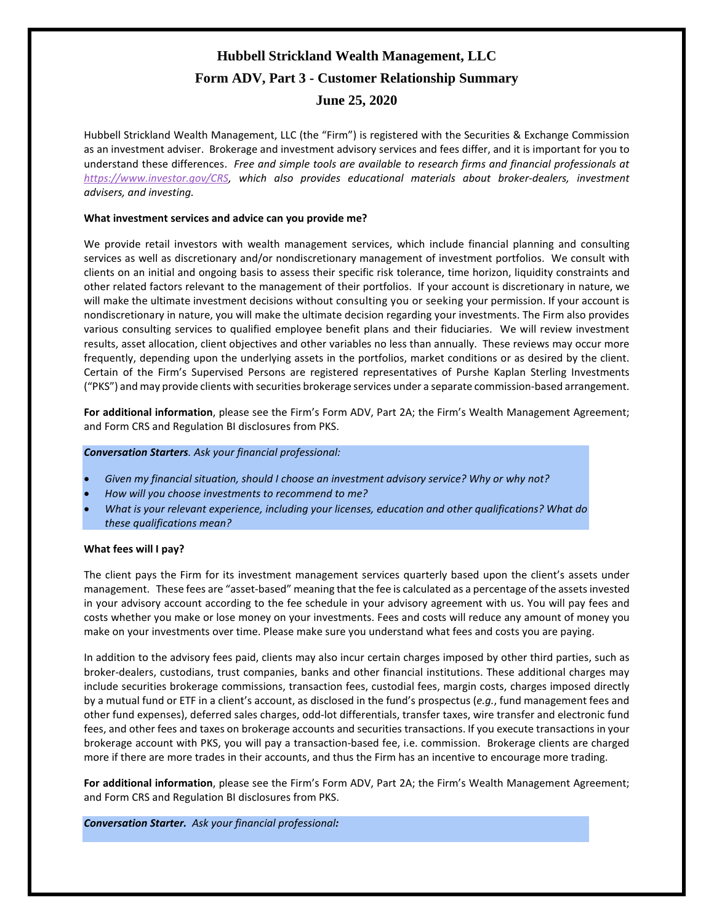# **Hubbell Strickland Wealth Management, LLC Form ADV, Part 3 - Customer Relationship Summary June 25, 2020**

Hubbell Strickland Wealth Management, LLC (the "Firm") is registered with the Securities & Exchange Commission as an investment adviser. Brokerage and investment advisory services and fees differ, and it is important for you to understand these differences. *Free and simple tools are available to research firms and financial professionals at [https://www.investor.gov/CRS,](https://www.investor.gov/CRS) which also provides educational materials about broker-dealers, investment advisers, and investing.*

# **What investment services and advice can you provide me?**

We provide retail investors with wealth management services, which include financial planning and consulting services as well as discretionary and/or nondiscretionary management of investment portfolios. We consult with clients on an initial and ongoing basis to assess their specific risk tolerance, time horizon, liquidity constraints and other related factors relevant to the management of their portfolios. If your account is discretionary in nature, we will make the ultimate investment decisions without consulting you or seeking your permission. If your account is nondiscretionary in nature, you will make the ultimate decision regarding your investments. The Firm also provides various consulting services to qualified employee benefit plans and their fiduciaries. We will review investment results, asset allocation, client objectives and other variables no less than annually. These reviews may occur more frequently, depending upon the underlying assets in the portfolios, market conditions or as desired by the client. Certain of the Firm's Supervised Persons are registered representatives of Purshe Kaplan Sterling Investments ("PKS") and may provide clients with securities brokerage services under a separate commission-based arrangement.

**For additional information**, please see the Firm's Form ADV, Part 2A; the Firm's Wealth Management Agreement; and Form CRS and Regulation BI disclosures from PKS.

*Conversation Starters. Ask your financial professional:*

- *Given my financial situation, should I choose an investment advisory service? Why or why not?*
- *How will you choose investments to recommend to me?*
- *What is your relevant experience, including your licenses, education and other qualifications? What do these qualifications mean?*

## **What fees will I pay?**

The client pays the Firm for its investment management services quarterly based upon the client's assets under management. These fees are "asset-based" meaning that the fee is calculated as a percentage of the assets invested in your advisory account according to the fee schedule in your advisory agreement with us. You will pay fees and costs whether you make or lose money on your investments. Fees and costs will reduce any amount of money you make on your investments over time. Please make sure you understand what fees and costs you are paying.

In addition to the advisory fees paid, clients may also incur certain charges imposed by other third parties, such as broker-dealers, custodians, trust companies, banks and other financial institutions. These additional charges may include securities brokerage commissions, transaction fees, custodial fees, margin costs, charges imposed directly by a mutual fund or ETF in a client's account, as disclosed in the fund's prospectus (*e.g.*, fund management fees and other fund expenses), deferred sales charges, odd-lot differentials, transfer taxes, wire transfer and electronic fund fees, and other fees and taxes on brokerage accounts and securities transactions. If you execute transactions in your brokerage account with PKS, you will pay a transaction-based fee, i.e. commission. Brokerage clients are charged more if there are more trades in their accounts, and thus the Firm has an incentive to encourage more trading.

**For additional information**, please see the Firm's Form ADV, Part 2A; the Firm's Wealth Management Agreement; and Form CRS and Regulation BI disclosures from PKS.

*Conversation Starter. Ask your financial professional:*